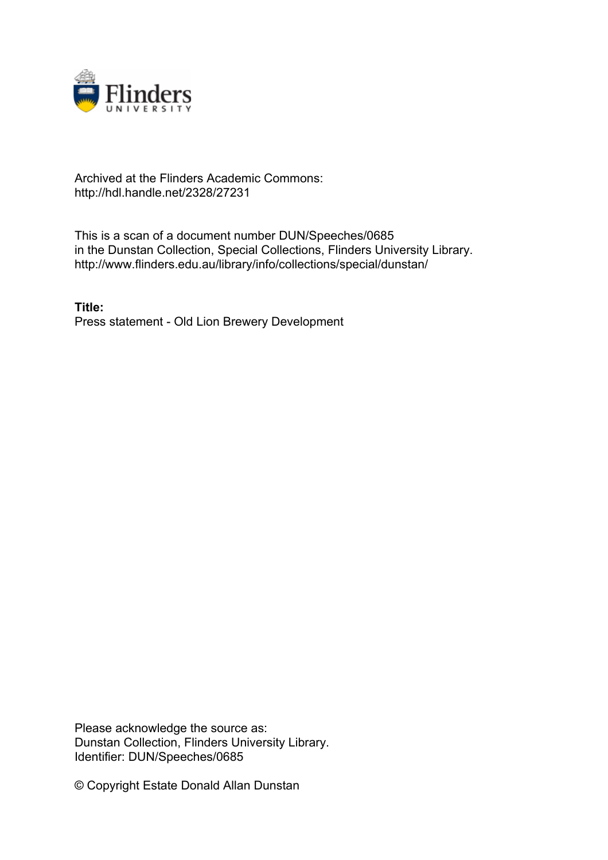

## Archived at the Flinders Academic Commons: http://hdl.handle.net/2328/27231

This is a scan of a document number DUN/Speeches/0685 in the Dunstan Collection, Special Collections, Flinders University Library. http://www.flinders.edu.au/library/info/collections/special/dunstan/

**Title:** Press statement - Old Lion Brewery Development

Please acknowledge the source as: Dunstan Collection, Flinders University Library. Identifier: DUN/Speeches/0685

© Copyright Estate Donald Allan Dunstan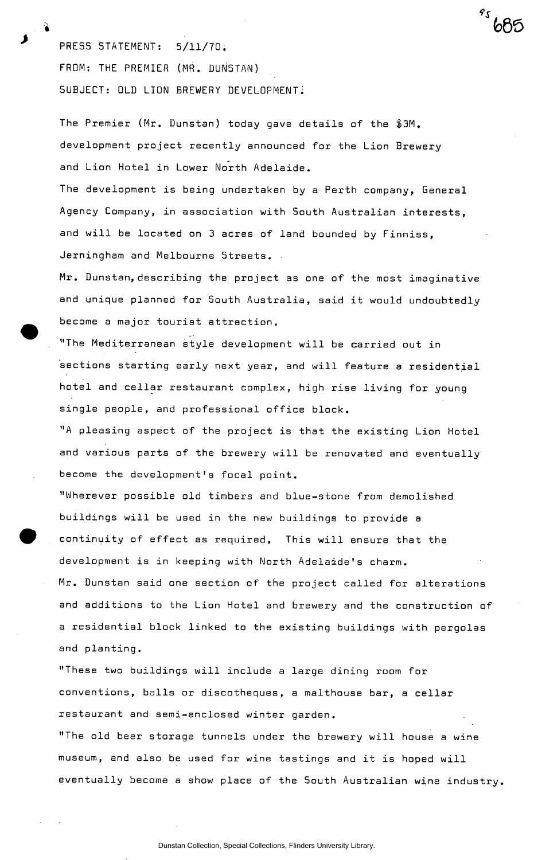PRESS STATEMENT: 5/11/70. FROM: THE PREMIER (MR. DUNSTAN) SUBJECT: OLD LION BREWERY DEVELOPMENT!

The Premier (Mr. Dunstan) today gave details of the \$3M. development project recently announced for the Lion Brewery and Lion Hotel in Lower North Adelaide.

*\*s* 

The development is being undertaken by a Perth company, General Agency Company, in association with South Australian interests, and will be located on 3 acres of land bounded by Finniss, Jerningham and Melbourne Streets.

Mr. Dunstan,describing the project as one of the most imaginative and unique planned for South Australia, said it would undoubtedly become a major tourist attraction.

"The Mediterranean style development will be carried out in sections starting early next year, and will feature a residential hotel and cellar restaurant complex, high rise living for young single people, and professional office block.

"A pleasing aspect of the project is that the existing Lion Hotel and various parts of the brewery will be renovated and eventually become the development's focal point.

"Wherever possible old timbers and blue-stone from demolished buildings will be used in the new buildings to provide a continuity of effect as required, This will ensure that the development is in keeping with North Adelaide's charm. Mr. Dunstan said one section of the project called for alterations and additions to the Lion Hotel and brewery and the construction of a residential block linked to the existing buildings with pergolas and planting.

"These two buildings will include a large dining room for conventions, balls or discotheques, a malthouse bar, a cellar restaurant and semi-enclosed winter garden.

"The old beer storage tunnels under the brewery will house a wine museum, and also be used for wine tastings and it is hoped will eventually become a show place of the South Australian wine industry.